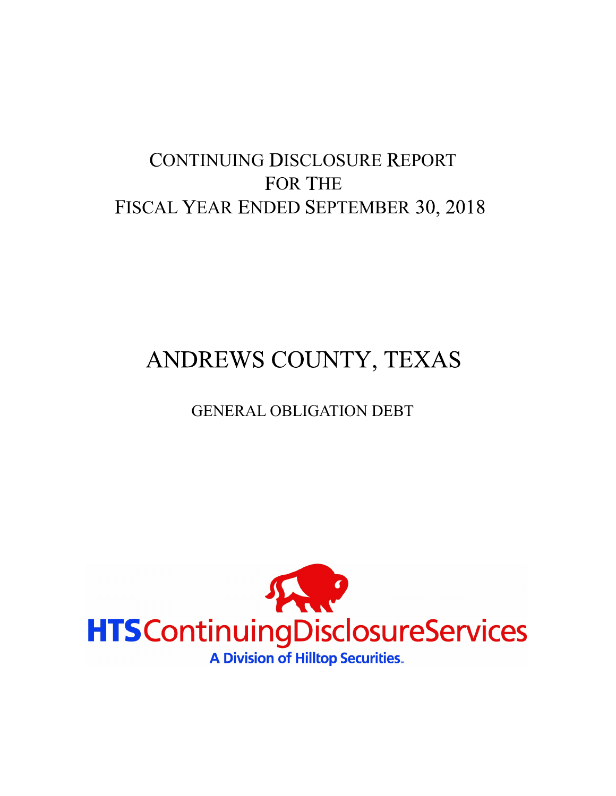# CONTINUING DISCLOSURE REPORT FOR THE FISCAL YEAR ENDED SEPTEMBER 30, 2018

# ANDREWS COUNTY, TEXAS

# GENERAL OBLIGATION DEBT

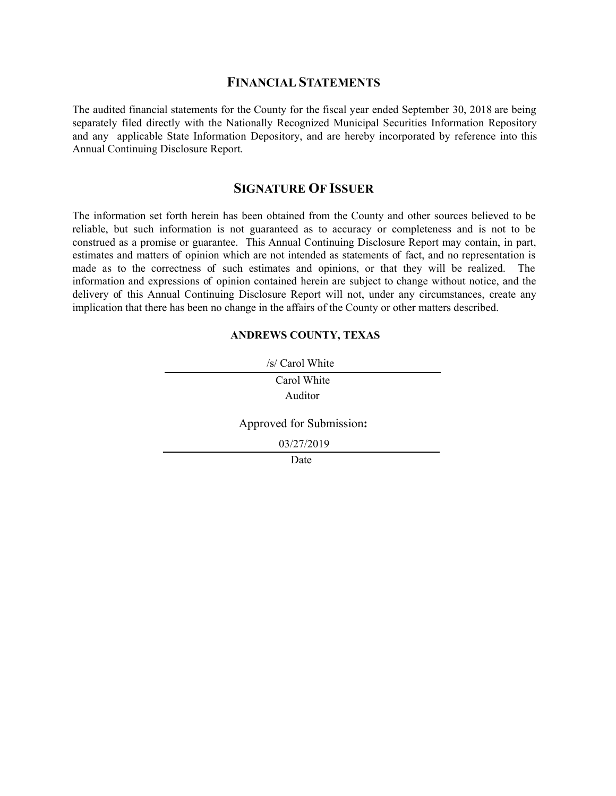#### **FINANCIAL STATEMENTS**

The audited financial statements for the County for the fiscal year ended September 30, 2018 are being separately filed directly with the Nationally Recognized Municipal Securities Information Repository and any applicable State Information Depository, and are hereby incorporated by reference into this Annual Continuing Disclosure Report.

#### **SIGNATURE OF ISSUER**

The information set forth herein has been obtained from the County and other sources believed to be reliable, but such information is not guaranteed as to accuracy or completeness and is not to be construed as a promise or guarantee. This Annual Continuing Disclosure Report may contain, in part, estimates and matters of opinion which are not intended as statements of fact, and no representation is made as to the correctness of such estimates and opinions, or that they will be realized. The information and expressions of opinion contained herein are subject to change without notice, and the delivery of this Annual Continuing Disclosure Report will not, under any circumstances, create any implication that there has been no change in the affairs of the County or other matters described.

#### **ANDREWS COUNTY, TEXAS**

| /s/ Carol White          |  |  |  |  |  |
|--------------------------|--|--|--|--|--|
| Carol White              |  |  |  |  |  |
| Auditor                  |  |  |  |  |  |
| Approved for Submission: |  |  |  |  |  |
| 03/27/2019               |  |  |  |  |  |
| Date                     |  |  |  |  |  |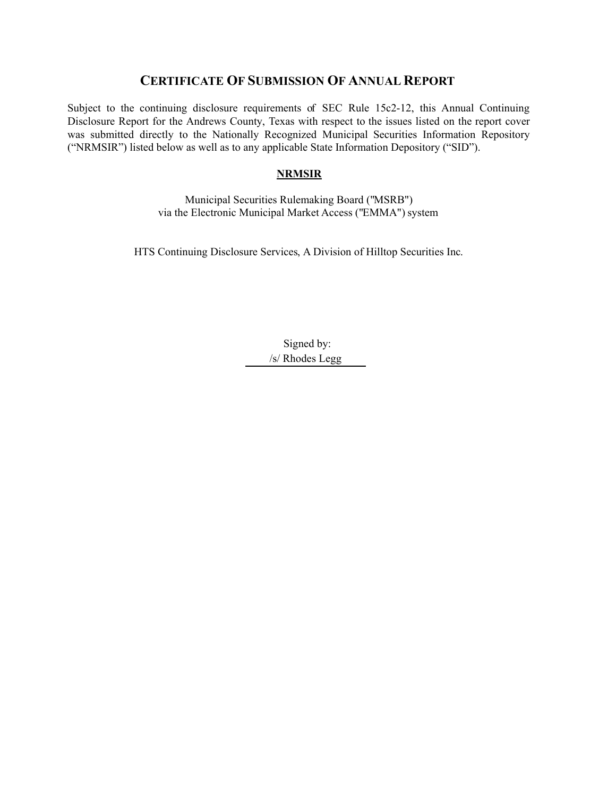# **CERTIFICATE OF SUBMISSION OF ANNUAL REPORT**

Subject to the continuing disclosure requirements of SEC Rule 15c2-12, this Annual Continuing Disclosure Report for the Andrews County, Texas with respect to the issues listed on the report cover was submitted directly to the Nationally Recognized Municipal Securities Information Repository ("NRMSIR") listed below as well as to any applicable State Information Depository ("SID").

#### **NRMSIR**

Municipal Securities Rulemaking Board ("MSRB") via the Electronic Municipal Market Access ("EMMA") system

HTS Continuing Disclosure Services, A Division of Hilltop Securities Inc.

Signed by: /s/ Rhodes Legg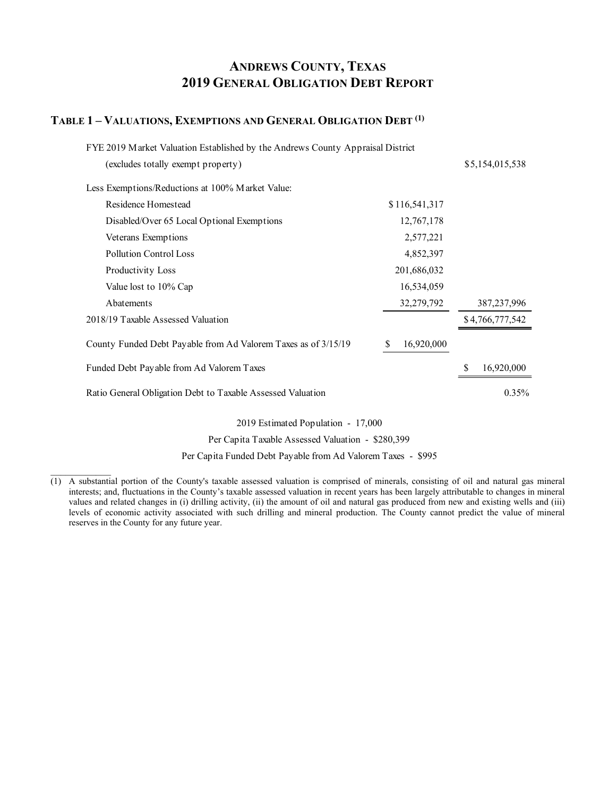# **ANDREWS COUNTY, TEXAS 2019 GENERAL OBLIGATION DEBT REPORT**

#### **TABLE 1 – VALUATIONS, EXEMPTIONS AND GENERAL OBLIGATION DEBT (1)**

 $\mathcal{L}=\mathcal{L}^{\mathcal{L}}$ 

| FYE 2019 Market Valuation Established by the Andrews County Appraisal District |                 |                 |  |  |  |  |  |
|--------------------------------------------------------------------------------|-----------------|-----------------|--|--|--|--|--|
| (excludes totally exempt property)                                             |                 | \$5,154,015,538 |  |  |  |  |  |
| Less Exemptions/Reductions at 100% Market Value:                               |                 |                 |  |  |  |  |  |
| Residence Homestead                                                            | \$116,541,317   |                 |  |  |  |  |  |
| Disabled/Over 65 Local Optional Exemptions                                     | 12,767,178      |                 |  |  |  |  |  |
| Veterans Exemptions                                                            | 2,577,221       |                 |  |  |  |  |  |
| Pollution Control Loss                                                         | 4,852,397       |                 |  |  |  |  |  |
| Productivity Loss                                                              | 201,686,032     |                 |  |  |  |  |  |
| Value lost to 10% Cap                                                          | 16,534,059      |                 |  |  |  |  |  |
| Abatements                                                                     | 32,279,792      | 387, 237, 996   |  |  |  |  |  |
| 2018/19 Taxable Assessed Valuation                                             |                 | \$4,766,777,542 |  |  |  |  |  |
| County Funded Debt Payable from Ad Valorem Taxes as of 3/15/19                 | 16,920,000<br>S |                 |  |  |  |  |  |
| Funded Debt Payable from Ad Valorem Taxes                                      |                 | 16,920,000      |  |  |  |  |  |
| Ratio General Obligation Debt to Taxable Assessed Valuation                    |                 | $0.35\%$        |  |  |  |  |  |

2019 Estimated Population - 17,000

Per Capita Taxable Assessed Valuation - \$280,399

Per Capita Funded Debt Payable from Ad Valorem Taxes - \$995

 $\overline{(1)}$  A substantial portion of the County's taxable assessed valuation is comprised of minerals, consisting of oil and natural gas mineral interests; and, fluctuations in the County's taxable assessed valuation in recent years has been largely attributable to changes in mineral values and related changes in (i) drilling activity, (ii) the amount of oil and natural gas produced from new and existing wells and (iii) levels of economic activity associated with such drilling and mineral production. The County cannot predict the value of mineral reserves in the County for any future year.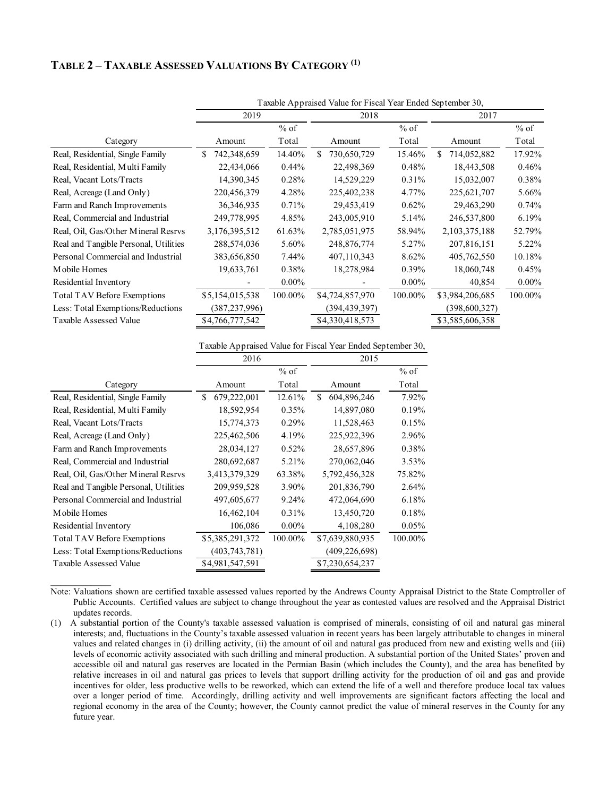## **TABLE 2 – TAXABLE ASSESSED VALUATIONS BY CATEGORY (1)**

|                                       | Taxable Appraised Value for Fiscal Year Ended September 30, |          |                   |          |                   |          |  |  |  |
|---------------------------------------|-------------------------------------------------------------|----------|-------------------|----------|-------------------|----------|--|--|--|
|                                       | 2019                                                        |          | 2018              |          | 2017              |          |  |  |  |
|                                       |                                                             | $%$ of   |                   | $%$ of   |                   | $%$ of   |  |  |  |
| Category                              | Amount                                                      | Total    | Amount            | Total    | Amount            | Total    |  |  |  |
| Real, Residential, Single Family      | 742,348,659<br>\$                                           | 14.40%   | 730,650,729<br>\$ | 15.46%   | 714,052,882<br>\$ | 17.92%   |  |  |  |
| Real, Residential, Multi Family       | 22,434,066                                                  | $0.44\%$ | 22,498,369        | 0.48%    | 18,443,508        | 0.46%    |  |  |  |
| Real, Vacant Lots/Tracts              | 14,390,345                                                  | 0.28%    | 14,529,229        | 0.31%    | 15,032,007        | 0.38%    |  |  |  |
| Real, Acreage (Land Only)             | 220,456,379                                                 | 4.28%    | 225,402,238       | 4.77%    | 225,621,707       | 5.66%    |  |  |  |
| Farm and Ranch Improvements           | 36, 346, 935                                                | 0.71%    | 29,453,419        | 0.62%    | 29,463,290        | 0.74%    |  |  |  |
| Real, Commercial and Industrial       | 249,778,995                                                 | 4.85%    | 243,005,910       | 5.14%    | 246,537,800       | 6.19%    |  |  |  |
| Real, Oil, Gas/Other Mineral Resrvs   | 3,176,395,512                                               | 61.63%   | 2,785,051,975     | 58.94%   | 2, 103, 375, 188  | 52.79%   |  |  |  |
| Real and Tangible Personal, Utilities | 288,574,036                                                 | 5.60%    | 248,876,774       | 5.27%    | 207,816,151       | 5.22%    |  |  |  |
| Personal Commercial and Industrial    | 383,656,850                                                 | 7.44%    | 407,110,343       | 8.62%    | 405,762,550       | 10.18%   |  |  |  |
| Mobile Homes                          | 19,633,761                                                  | 0.38%    | 18,278,984        | $0.39\%$ | 18,060,748        | 0.45%    |  |  |  |
| Residential Inventory                 |                                                             | $0.00\%$ |                   | $0.00\%$ | 40,854            | $0.00\%$ |  |  |  |
| Total TAV Before Exemptions           | \$5,154,015,538                                             | 100.00%  | \$4,724,857,970   | 100.00%  | \$3,984,206,685   | 100.00%  |  |  |  |
| Less: Total Exemptions/Reductions     | (387,237,996)                                               |          | (394,439,397)     |          | (398, 600, 327)   |          |  |  |  |
| Taxable Assessed Value                | \$4,766,777,542                                             |          | \$4,330,418,573   |          | \$3,585,606,358   |          |  |  |  |

Taxable Appraised Value for Fiscal Year Ended September 30,

|                                       | 2016               |          | 2015              |         |
|---------------------------------------|--------------------|----------|-------------------|---------|
|                                       |                    | $%$ of   |                   | $%$ of  |
| Category                              | Amount             | Total    | Amount            | Total   |
| Real, Residential, Single Family      | 679,222,001<br>\$. | 12.61%   | 604,896,246<br>S. | 7.92%   |
| Real, Residential, Multi Family       | 18,592,954         | 0.35%    | 14,897,080        | 0.19%   |
| Real, Vacant Lots/Tracts              | 15,774,373         | 0.29%    | 11,528,463        | 0.15%   |
| Real, Acreage (Land Only)             | 225,462,506        | 4.19%    | 225,922,396       | 2.96%   |
| Farm and Ranch Improvements           | 28,034,127         | 0.52%    | 28,657,896        | 0.38%   |
| Real, Commercial and Industrial       | 280,692,687        | 5.21%    | 270,062,046       | 3.53%   |
| Real, Oil, Gas/Other Mineral Resrvs   | 3,413,379,329      | 63.38%   | 5,792,456,328     | 75.82%  |
| Real and Tangible Personal, Utilities | 209,959,528        | 3.90%    | 201,836,790       | 2.64%   |
| Personal Commercial and Industrial    | 497,605,677        | 9.24%    | 472,064,690       | 6.18%   |
| Mobile Homes                          | 16,462,104         | 0.31%    | 13,450,720        | 0.18%   |
| Residential Inventory                 | 106,086            | $0.00\%$ | 4,108,280         | 0.05%   |
| Total TAV Before Exemptions           | \$5,385,291,372    | 100.00%  | \$7,639,880,935   | 100.00% |
| Less: Total Exemptions/Reductions     | (403,743,781)      |          | (409, 226, 698)   |         |
| Taxable Assessed Value                | \$4,981,547,591    |          | \$7,230,654,237   |         |

 $\mathcal{L}=\mathcal{L}^{\mathcal{L}}$ 

Note: Valuations shown are certified taxable assessed values reported by the Andrews County Appraisal District to the State Comptroller of Public Accounts. Certified values are subject to change throughout the year as contested values are resolved and the Appraisal District updates records.

(1) A substantial portion of the County's taxable assessed valuation is comprised of minerals, consisting of oil and natural gas mineral interests; and, fluctuations in the County's taxable assessed valuation in recent years has been largely attributable to changes in mineral values and related changes in (i) drilling activity, (ii) the amount of oil and natural gas produced from new and existing wells and (iii) levels of economic activity associated with such drilling and mineral production. A substantial portion of the United States' proven and accessible oil and natural gas reserves are located in the Permian Basin (which includes the County), and the area has benefited by relative increases in oil and natural gas prices to levels that support drilling activity for the production of oil and gas and provide incentives for older, less productive wells to be reworked, which can extend the life of a well and therefore produce local tax values over a longer period of time. Accordingly, drilling activity and well improvements are significant factors affecting the local and regional economy in the area of the County; however, the County cannot predict the value of mineral reserves in the County for any future year.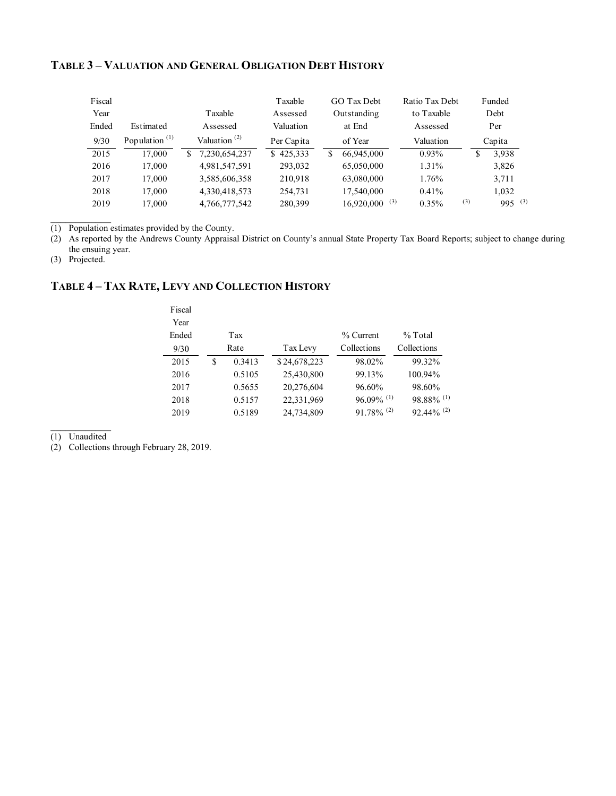#### **TABLE 3 – VALUATION AND GENERAL OBLIGATION DEBT HISTORY**

| Fiscal |                                        |                                       | Taxable       | GO Tax Debt                 | Ratio Tax Debt |     | Funded      |  |
|--------|----------------------------------------|---------------------------------------|---------------|-----------------------------|----------------|-----|-------------|--|
| Year   |                                        | Taxable                               | Assessed      | Outstanding                 | to Taxable     |     | Debt        |  |
| Ended  | Estimated                              | Assessed                              | Valuation     | at End                      | Assessed       |     | Per         |  |
| 9/30   | Population <sup><math>(1)</math></sup> | Valuation <sup><math>(2)</math></sup> | Per Capita    | of Year                     | Valuation      |     | Capita      |  |
| 2015   | 17.000                                 | 7,230,654,237<br>S.                   | 425.333<br>S. | 66,945,000<br>S             | $0.93\%$       | S   | 3.938       |  |
| 2016   | 17,000                                 | 4,981,547,591                         | 293,032       | 65,050,000                  | 1.31%          |     | 3,826       |  |
| 2017   | 17.000                                 | 3,585,606,358                         | 210.918       | 63,080,000                  | 1.76%          |     | 3,711       |  |
| 2018   | 17.000                                 | 4,330,418,573                         | 254,731       | 17,540,000                  | 0.41%          |     | 1,032       |  |
| 2019   | 17.000                                 | 4,766,777,542                         | 280,399       | $16,920,000$ <sup>(3)</sup> | $0.35\%$       | (3) | $995^{(3)}$ |  |

(1) Population estimates provided by the County.

(2) As reported by the Andrews County Appraisal District on County's annual State Property Tax Board Reports; subject to change during the ensuing year.

(3) Projected.

# **TABLE 4 – TAX RATE, LEVY AND COLLECTION HISTORY**

| Fiscal<br>Year |              |              |                          |                          |
|----------------|--------------|--------------|--------------------------|--------------------------|
| Ended          | Tax          |              | $%$ Current              | $%$ Total                |
| 9/30           | Rate         | Tax Levy     | Collections              | Collections              |
| 2015           | \$<br>0.3413 | \$24,678,223 | 98.02%                   | 99.32%                   |
| 2016           | 0.5105       | 25,430,800   | 99.13%                   | 100.94%                  |
| 2017           | 0.5655       | 20,276,604   | 96.60%                   | 98.60%                   |
| 2018           | 0.5157       | 22,331,969   | $96.09\%$ <sup>(1)</sup> | $98.88\%$ <sup>(1)</sup> |
| 2019           | 0.5189       | 24,734,809   | $91.78\%$ <sup>(2)</sup> | $92.44\%$ <sup>(2)</sup> |

(1) Unaudited

(2) Collections through February 28, 2019.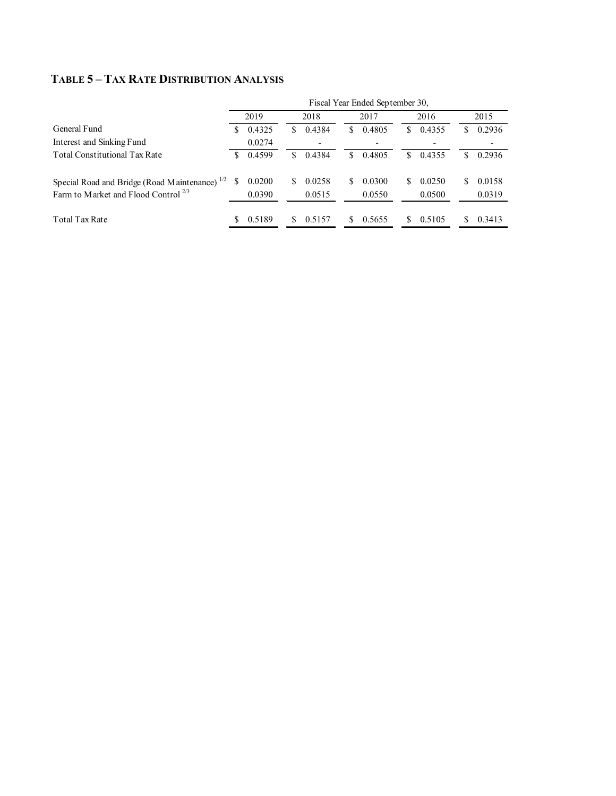# **TABLE 5 – TAX RATE DISTRIBUTION ANALYSIS**

|                                                                                                              | Fiscal Year Ended September 30, |                  |    |                  |    |                  |     |                  |    |                  |
|--------------------------------------------------------------------------------------------------------------|---------------------------------|------------------|----|------------------|----|------------------|-----|------------------|----|------------------|
|                                                                                                              |                                 | 2019             |    | 2018             |    | 2017             |     | 2016             |    | 2015             |
| General Fund                                                                                                 | S                               | 0.4325           | S  | 0.4384           | S. | 0.4805           | S   | 0.4355           | S  | 0.2936           |
| Interest and Sinking Fund                                                                                    |                                 | 0.0274           |    |                  |    |                  |     |                  |    |                  |
| <b>Total Constitutional Tax Rate</b>                                                                         | S                               | 0.4599           | S. | 0.4384           | S. | 0.4805           | S   | 0.4355           | S. | 0.2936           |
| Special Road and Bridge (Road Maintenance) <sup>1/3</sup><br>Farm to Market and Flood Control <sup>2/3</sup> | S                               | 0.0200<br>0.0390 | S  | 0.0258<br>0.0515 | S. | 0.0300<br>0.0550 | \$. | 0.0250<br>0.0500 | S. | 0.0158<br>0.0319 |
| Total Tax Rate                                                                                               |                                 | 0.5189           |    | 0.5157           |    | 0.5655           | S   | 0.5105           |    | 0.3413           |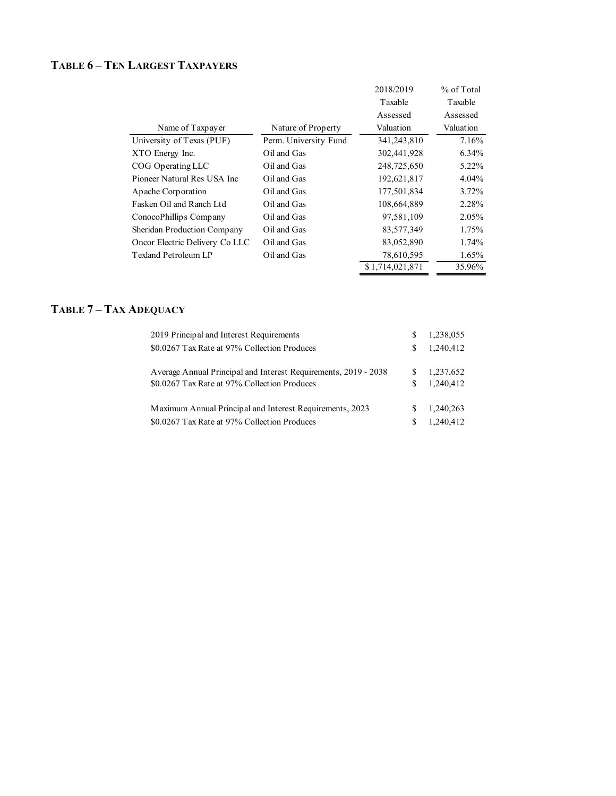# **TABLE 6 – TEN LARGEST TAXPAYERS**

|                                |                       | 2018/2019       | % of Total |
|--------------------------------|-----------------------|-----------------|------------|
|                                |                       | Taxable         | Taxable    |
|                                |                       | Assessed        | Assessed   |
| Name of Taxpayer               | Nature of Property    | Valuation       | Valuation  |
| University of Texas (PUF)      | Perm. University Fund | 341,243,810     | 7.16%      |
| XTO Energy Inc.                | Oil and Gas           | 302,441,928     | $6.34\%$   |
| COG Operating LLC              | Oil and Gas           | 248,725,650     | 5.22%      |
| Pioneer Natural Res USA Inc    | Oil and Gas           | 192,621,817     | $4.04\%$   |
| Apache Corporation             | Oil and Gas           | 177,501,834     | $3.72\%$   |
| Fasken Oil and Ranch Ltd       | Oil and Gas           | 108,664,889     | 2.28%      |
| ConocoPhillips Company         | Oil and Gas           | 97,581,109      | 2.05%      |
| Sheridan Production Company    | Oil and Gas           | 83,577,349      | 1.75%      |
| Oncor Electric Delivery Co LLC | Oil and Gas           | 83,052,890      | 1.74%      |
| Texland Petroleum LP           | Oil and Gas           | 78,610,595      | $1.65\%$   |
|                                |                       | \$1,714,021,871 | 35.96%     |
|                                |                       |                 |            |

# **TABLE 7 – TAX ADEQUACY**

| 2019 Principal and Interest Requirements                        | S | 1,238,055 |
|-----------------------------------------------------------------|---|-----------|
| \$0.0267 Tax Rate at 97% Collection Produces                    | S | 1.240.412 |
| Average Annual Principal and Interest Requirements, 2019 - 2038 | S | 1,237,652 |
| \$0.0267 Tax Rate at 97% Collection Produces                    | S | 1.240.412 |
| Maximum Annual Principal and Interest Requirements, 2023        | S | 1,240,263 |
| \$0.0267 Tax Rate at 97% Collection Produces                    | S | 1,240,412 |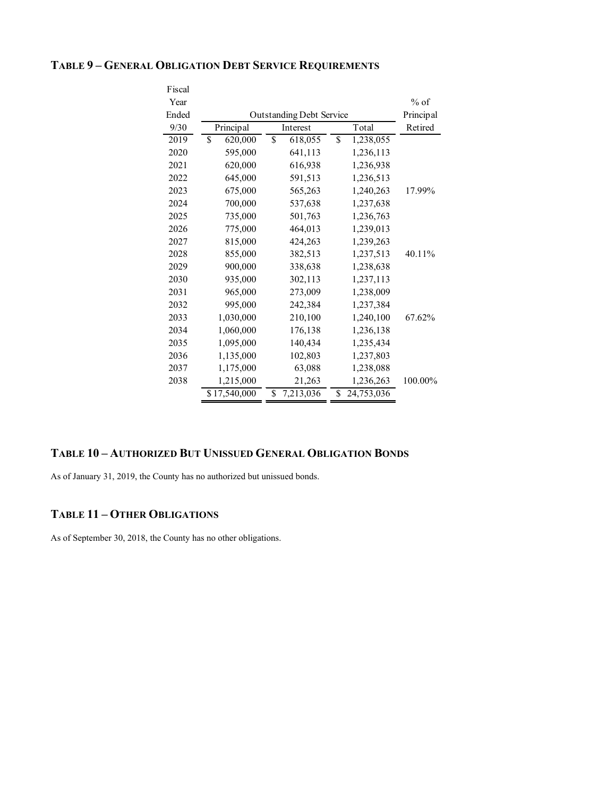#### **TABLE 9 – GENERAL OBLIGATION DEBT SERVICE REQUIREMENTS**

| Fiscal |                                    |                 |                  |         |  |  |  |
|--------|------------------------------------|-----------------|------------------|---------|--|--|--|
| Year   |                                    |                 |                  | $%$ of  |  |  |  |
| Ended  | <b>Outstanding Debt Service</b>    |                 |                  |         |  |  |  |
| 9/30   | Principal                          | Interest        | Total            | Retired |  |  |  |
| 2019   | $\overline{\mathbb{S}}$<br>620,000 | \$<br>618,055   | \$<br>1,238,055  |         |  |  |  |
| 2020   | 595,000                            | 641,113         | 1,236,113        |         |  |  |  |
| 2021   | 620,000                            | 616,938         | 1,236,938        |         |  |  |  |
| 2022   | 645,000                            | 591,513         | 1,236,513        |         |  |  |  |
| 2023   | 675,000                            | 565,263         | 1,240,263        | 17.99%  |  |  |  |
| 2024   | 700,000                            | 537,638         | 1,237,638        |         |  |  |  |
| 2025   | 735,000                            | 501,763         | 1,236,763        |         |  |  |  |
| 2026   | 775,000                            | 464,013         | 1,239,013        |         |  |  |  |
| 2027   | 815,000                            | 424,263         | 1,239,263        |         |  |  |  |
| 2028   | 855,000                            | 382,513         | 1,237,513        | 40.11%  |  |  |  |
| 2029   | 900,000                            | 338,638         | 1,238,638        |         |  |  |  |
| 2030   | 935,000                            | 302,113         | 1,237,113        |         |  |  |  |
| 2031   | 965,000                            | 273,009         | 1,238,009        |         |  |  |  |
| 2032   | 995,000                            | 242,384         | 1,237,384        |         |  |  |  |
| 2033   | 1,030,000                          | 210,100         | 1,240,100        | 67.62%  |  |  |  |
| 2034   | 1,060,000                          | 176,138         | 1,236,138        |         |  |  |  |
| 2035   | 1,095,000                          | 140,434         | 1,235,434        |         |  |  |  |
| 2036   | 1,135,000                          | 102,803         | 1,237,803        |         |  |  |  |
| 2037   | 1,175,000                          | 63,088          | 1,238,088        |         |  |  |  |
| 2038   | 1,215,000                          | 21,263          | 1,236,263        | 100.00% |  |  |  |
|        | \$17,540,000                       | \$<br>7,213,036 | \$<br>24,753,036 |         |  |  |  |

#### **TABLE 10 – AUTHORIZED BUT UNISSUED GENERAL OBLIGATION BONDS**

As of January 31, 2019, the County has no authorized but unissued bonds.

## **TABLE 11 – OTHER OBLIGATIONS**

As of September 30, 2018, the County has no other obligations.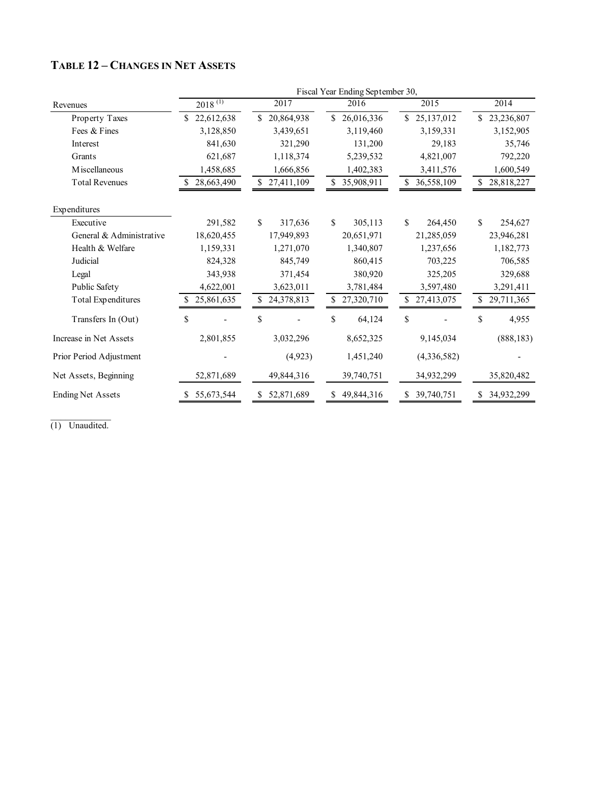|                           |                  |                         | Fiscal Year Ending September 30, |                         |                  |  |
|---------------------------|------------------|-------------------------|----------------------------------|-------------------------|------------------|--|
| Revenues                  | $2018^{(1)}$     | 2017                    | 2016                             | 2015                    | 2014             |  |
| Property Taxes            | 22,612,638<br>\$ | \$20,864,938            | 26,016,336<br>\$                 | \$25,137,012            | 23,236,807<br>\$ |  |
| Fees & Fines              | 3,128,850        | 3,439,651               | 3,119,460                        | 3,159,331               | 3,152,905        |  |
| Interest                  | 841,630          | 321,290                 | 131,200                          | 29,183                  | 35,746           |  |
| Grants                    | 621,687          | 1,118,374               | 5,239,532                        | 4,821,007               | 792,220          |  |
| M iscellaneous            | 1,458,685        | 1,666,856               | 1,402,383                        | 3,411,576               | 1,600,549        |  |
| <b>Total Revenues</b>     | 28,663,490       | \$27,411,109            | 35,908,911                       | \$<br>36,558,109        | \$<br>28,818,227 |  |
| Expenditures              |                  |                         |                                  |                         |                  |  |
| Executive                 | 291,582          | $\mathbb{S}$<br>317,636 | \$<br>305,113                    | $\mathbb{S}$<br>264,450 | \$<br>254,627    |  |
| General & Administrative  | 18,620,455       | 17,949,893              | 20,651,971                       | 21,285,059              | 23,946,281       |  |
| Health & Welfare          | 1,159,331        | 1,271,070               | 1,340,807                        | 1,237,656               | 1,182,773        |  |
| Judicial                  | 824,328          | 845,749                 | 860,415                          | 703,225                 | 706,585          |  |
| Legal                     | 343,938          | 371,454                 | 380,920                          | 325,205                 | 329,688          |  |
| Public Safety             | 4,622,001        | 3,623,011               | 3,781,484                        | 3,597,480               | 3,291,411        |  |
| <b>Total Expenditures</b> | 25,861,635       | 24,378,813              | 27,320,710                       | 27,413,075              | 29,711,365       |  |
| Transfers In (Out)        | \$               | \$                      | \$<br>64,124                     | \$                      | \$<br>4,955      |  |
| Increase in Net Assets    | 2,801,855        | 3,032,296               | 8,652,325                        | 9,145,034               | (888, 183)       |  |
| Prior Period Adjustment   |                  | (4,923)                 | 1,451,240                        | (4,336,582)             |                  |  |
| Net Assets, Beginning     | 52,871,689       | 49,844,316              | 39,740,751                       | 34,932,299              | 35,820,482       |  |
| <b>Ending Net Assets</b>  | 55,673,544       | 52,871,689<br>S.        | 49,844,316<br>S.                 | 39,740,751<br>S         | 34,932,299<br>S  |  |

# **TABLE 12 – CHANGES IN NET ASSETS**

 $\mathcal{L}=\mathcal{L}^{\mathcal{L}}$ (1) Unaudited.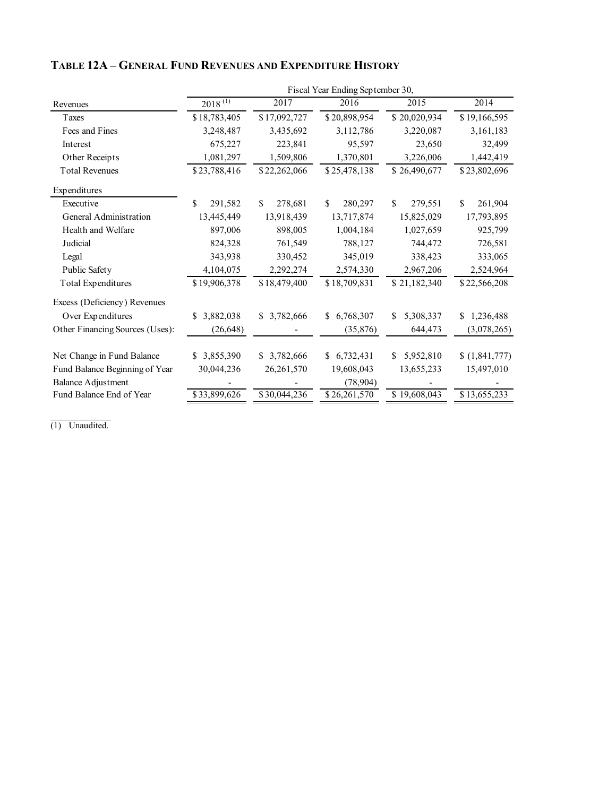|                                 | Fiscal Year Ending September 30, |                |                 |                 |                 |  |  |  |  |
|---------------------------------|----------------------------------|----------------|-----------------|-----------------|-----------------|--|--|--|--|
| Revenues                        | $2018^{(1)}$                     | 2017           | 2016            | 2015            | 2014            |  |  |  |  |
| Taxes                           | \$18,783,405                     | \$17,092,727   | \$20,898,954    | \$20,020,934    | \$19,166,595    |  |  |  |  |
| Fees and Fines                  | 3,248,487                        | 3,435,692      | 3,112,786       | 3,220,087       | 3,161,183       |  |  |  |  |
| Interest                        | 675,227                          | 223,841        | 95,597          | 23,650          | 32,499          |  |  |  |  |
| Other Receipts                  | 1,081,297                        | 1,509,806      | 1,370,801       | 3,226,006       | 1,442,419       |  |  |  |  |
| <b>Total Revenues</b>           | \$23,788,416                     | \$22,262,066   | \$25,478,138    | \$26,490,677    | \$23,802,696    |  |  |  |  |
| Expenditures                    |                                  |                |                 |                 |                 |  |  |  |  |
| Executive                       | \$<br>291,582                    | \$.<br>278,681 | 280,297<br>\$.  | \$.<br>279,551  | \$<br>261,904   |  |  |  |  |
| General Administration          | 13,445,449                       | 13,918,439     | 13,717,874      | 15,825,029      | 17,793,895      |  |  |  |  |
| Health and Welfare              | 897,006                          | 898,005        | 1,004,184       | 1,027,659       | 925,799         |  |  |  |  |
| Judicial                        | 824,328                          | 761,549        | 788,127         | 744,472         | 726,581         |  |  |  |  |
| Legal                           | 343,938                          | 330,452        | 345,019         | 338,423         | 333,065         |  |  |  |  |
| Public Safety                   | 4,104,075                        | 2,292,274      | 2,574,330       | 2,967,206       | 2,524,964       |  |  |  |  |
| <b>Total Expenditures</b>       | \$19,906,378                     | \$18,479,400   | \$18,709,831    | \$21,182,340    | \$22,566,208    |  |  |  |  |
| Excess (Deficiency) Revenues    |                                  |                |                 |                 |                 |  |  |  |  |
| Over Expenditures               | 3,882,038<br>\$                  | \$ 3,782,666   | 6,768,307<br>S. | 5,308,337<br>\$ | 1,236,488<br>S. |  |  |  |  |
| Other Financing Sources (Uses): | (26, 648)                        |                | (35,876)        | 644,473         | (3,078,265)     |  |  |  |  |
| Net Change in Fund Balance      | 3,855,390<br>S.                  | \$ 3,782,666   | \$6,732,431     | 5,952,810<br>\$ | (1,841,777)     |  |  |  |  |
| Fund Balance Beginning of Year  | 30,044,236                       | 26,261,570     | 19,608,043      | 13,655,233      | 15,497,010      |  |  |  |  |
| <b>Balance Adjustment</b>       |                                  |                | (78,904)        |                 |                 |  |  |  |  |
| Fund Balance End of Year        | \$33,899,626                     | \$30,044,236   | \$26,261,570    | \$19,608,043    | \$13,655,233    |  |  |  |  |

# **TABLE 12A – GENERAL FUND REVENUES AND EXPENDITURE HISTORY**

(1) Unaudited.